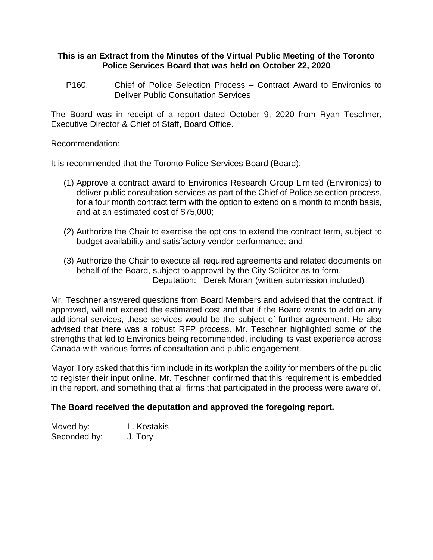#### **This is an Extract from the Minutes of the Virtual Public Meeting of the Toronto Police Services Board that was held on October 22, 2020**

P160. Chief of Police Selection Process – Contract Award to Environics to Deliver Public Consultation Services

The Board was in receipt of a report dated October 9, 2020 from Ryan Teschner, Executive Director & Chief of Staff, Board Office.

#### Recommendation:

It is recommended that the Toronto Police Services Board (Board):

- (1) Approve a contract award to Environics Research Group Limited (Environics) to deliver public consultation services as part of the Chief of Police selection process, for a four month contract term with the option to extend on a month to month basis, and at an estimated cost of \$75,000;
- (2) Authorize the Chair to exercise the options to extend the contract term, subject to budget availability and satisfactory vendor performance; and
- (3) Authorize the Chair to execute all required agreements and related documents on behalf of the Board, subject to approval by the City Solicitor as to form. Deputation: Derek Moran (written submission included)

Mr. Teschner answered questions from Board Members and advised that the contract, if approved, will not exceed the estimated cost and that if the Board wants to add on any additional services, these services would be the subject of further agreement. He also advised that there was a robust RFP process. Mr. Teschner highlighted some of the strengths that led to Environics being recommended, including its vast experience across Canada with various forms of consultation and public engagement.

Mayor Tory asked that this firm include in its workplan the ability for members of the public to register their input online. Mr. Teschner confirmed that this requirement is embedded in the report, and something that all firms that participated in the process were aware of.

#### **The Board received the deputation and approved the foregoing report.**

| Moved by:    | L. Kostakis |
|--------------|-------------|
| Seconded by: | J. Tory     |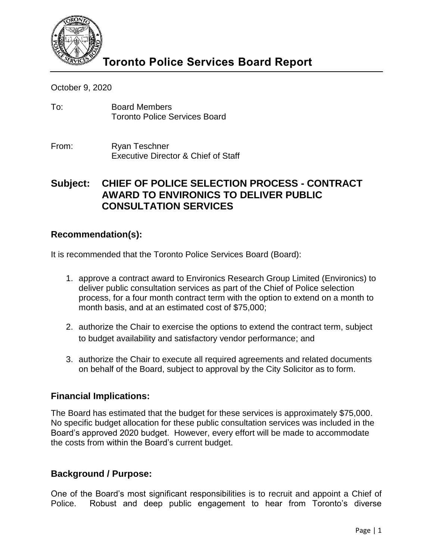

October 9, 2020

- To: Board Members Toronto Police Services Board
- From: Ryan Teschner Executive Director & Chief of Staff

# **Subject: CHIEF OF POLICE SELECTION PROCESS - CONTRACT AWARD TO ENVIRONICS TO DELIVER PUBLIC CONSULTATION SERVICES**

## **Recommendation(s):**

It is recommended that the Toronto Police Services Board (Board):

- 1. approve a contract award to Environics Research Group Limited (Environics) to deliver public consultation services as part of the Chief of Police selection process, for a four month contract term with the option to extend on a month to month basis, and at an estimated cost of \$75,000;
- 2. authorize the Chair to exercise the options to extend the contract term, subject to budget availability and satisfactory vendor performance; and
- 3. authorize the Chair to execute all required agreements and related documents on behalf of the Board, subject to approval by the City Solicitor as to form.

## **Financial Implications:**

The Board has estimated that the budget for these services is approximately \$75,000. No specific budget allocation for these public consultation services was included in the Board's approved 2020 budget. However, every effort will be made to accommodate the costs from within the Board's current budget.

## **Background / Purpose:**

One of the Board's most significant responsibilities is to recruit and appoint a Chief of Police. Robust and deep public engagement to hear from Toronto's diverse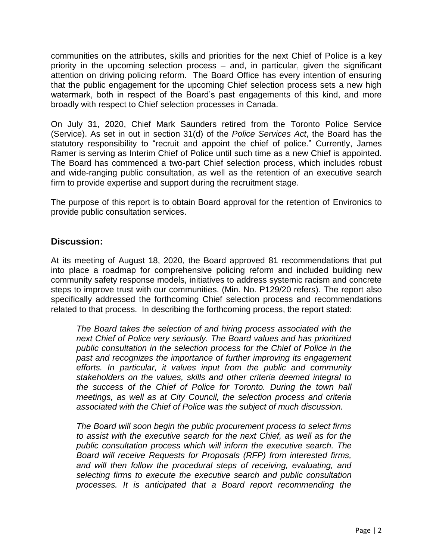communities on the attributes, skills and priorities for the next Chief of Police is a key priority in the upcoming selection process – and, in particular, given the significant attention on driving policing reform. The Board Office has every intention of ensuring that the public engagement for the upcoming Chief selection process sets a new high watermark, both in respect of the Board's past engagements of this kind, and more broadly with respect to Chief selection processes in Canada.

On July 31, 2020, Chief Mark Saunders retired from the Toronto Police Service (Service). As set in out in section 31(d) of the *Police Services Act*, the Board has the statutory responsibility to "recruit and appoint the chief of police." Currently, James Ramer is serving as Interim Chief of Police until such time as a new Chief is appointed. The Board has commenced a two-part Chief selection process, which includes robust and wide-ranging public consultation, as well as the retention of an executive search firm to provide expertise and support during the recruitment stage.

The purpose of this report is to obtain Board approval for the retention of Environics to provide public consultation services.

## **Discussion:**

At its meeting of August 18, 2020, the Board approved 81 recommendations that put into place a roadmap for comprehensive policing reform and included building new community safety response models, initiatives to address systemic racism and concrete steps to improve trust with our communities. (Min. No. P129/20 refers). The report also specifically addressed the forthcoming Chief selection process and recommendations related to that process. In describing the forthcoming process, the report stated:

*The Board takes the selection of and hiring process associated with the next Chief of Police very seriously. The Board values and has prioritized public consultation in the selection process for the Chief of Police in the past and recognizes the importance of further improving its engagement efforts. In particular, it values input from the public and community stakeholders on the values, skills and other criteria deemed integral to the success of the Chief of Police for Toronto. During the town hall meetings, as well as at City Council, the selection process and criteria associated with the Chief of Police was the subject of much discussion.*

*The Board will soon begin the public procurement process to select firms to assist with the executive search for the next Chief, as well as for the public consultation process which will inform the executive search. The Board will receive Requests for Proposals (RFP) from interested firms, and will then follow the procedural steps of receiving, evaluating, and selecting firms to execute the executive search and public consultation processes. It is anticipated that a Board report recommending the*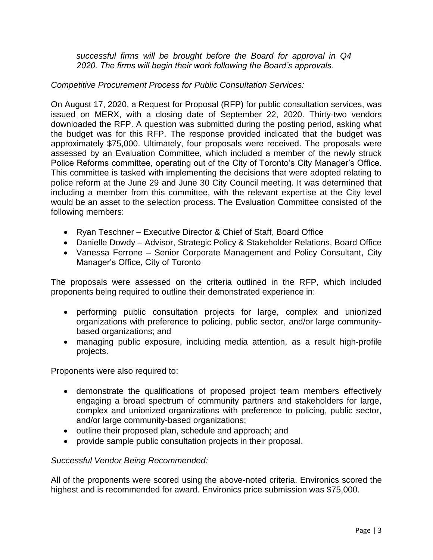*successful firms will be brought before the Board for approval in Q4 2020. The firms will begin their work following the Board's approvals.*

### *Competitive Procurement Process for Public Consultation Services:*

On August 17, 2020, a Request for Proposal (RFP) for public consultation services, was issued on MERX, with a closing date of September 22, 2020. Thirty-two vendors downloaded the RFP. A question was submitted during the posting period, asking what the budget was for this RFP. The response provided indicated that the budget was approximately \$75,000. Ultimately, four proposals were received. The proposals were assessed by an Evaluation Committee, which included a member of the newly struck Police Reforms committee, operating out of the City of Toronto's City Manager's Office. This committee is tasked with implementing the decisions that were adopted relating to police reform at the June 29 and June 30 City Council meeting. It was determined that including a member from this committee, with the relevant expertise at the City level would be an asset to the selection process. The Evaluation Committee consisted of the following members:

- Ryan Teschner Executive Director & Chief of Staff, Board Office
- Danielle Dowdy Advisor, Strategic Policy & Stakeholder Relations, Board Office
- Vanessa Ferrone Senior Corporate Management and Policy Consultant, City Manager's Office, City of Toronto

The proposals were assessed on the criteria outlined in the RFP, which included proponents being required to outline their demonstrated experience in:

- performing public consultation projects for large, complex and unionized organizations with preference to policing, public sector, and/or large communitybased organizations; and
- managing public exposure, including media attention, as a result high-profile projects.

Proponents were also required to:

- demonstrate the qualifications of proposed project team members effectively engaging a broad spectrum of community partners and stakeholders for large, complex and unionized organizations with preference to policing, public sector, and/or large community-based organizations;
- outline their proposed plan, schedule and approach; and
- provide sample public consultation projects in their proposal.

#### *Successful Vendor Being Recommended:*

All of the proponents were scored using the above-noted criteria. Environics scored the highest and is recommended for award. Environics price submission was \$75,000.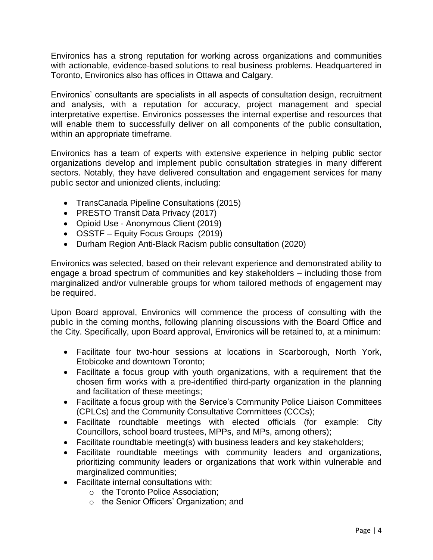Environics has a strong reputation for working across organizations and communities with actionable, evidence-based solutions to real business problems. Headquartered in Toronto, Environics also has offices in Ottawa and Calgary.

Environics' consultants are specialists in all aspects of consultation design, recruitment and analysis, with a reputation for accuracy, project management and special interpretative expertise. Environics possesses the internal expertise and resources that will enable them to successfully deliver on all components of the public consultation, within an appropriate timeframe.

Environics has a team of experts with extensive experience in helping public sector organizations develop and implement public consultation strategies in many different sectors. Notably, they have delivered consultation and engagement services for many public sector and unionized clients, including:

- TransCanada Pipeline Consultations (2015)
- PRESTO Transit Data Privacy (2017)
- Opioid Use Anonymous Client (2019)
- OSSTF Equity Focus Groups (2019)
- Durham Region Anti-Black Racism public consultation (2020)

Environics was selected, based on their relevant experience and demonstrated ability to engage a broad spectrum of communities and key stakeholders – including those from marginalized and/or vulnerable groups for whom tailored methods of engagement may be required.

Upon Board approval, Environics will commence the process of consulting with the public in the coming months, following planning discussions with the Board Office and the City. Specifically, upon Board approval, Environics will be retained to, at a minimum:

- Facilitate four two-hour sessions at locations in Scarborough, North York, Etobicoke and downtown Toronto;
- Facilitate a focus group with youth organizations, with a requirement that the chosen firm works with a pre-identified third-party organization in the planning and facilitation of these meetings;
- Facilitate a focus group with the Service's Community Police Liaison Committees (CPLCs) and the Community Consultative Committees (CCCs);
- Facilitate roundtable meetings with elected officials (for example: City Councillors, school board trustees, MPPs, and MPs, among others);
- Facilitate roundtable meeting(s) with business leaders and key stakeholders;
- Facilitate roundtable meetings with community leaders and organizations, prioritizing community leaders or organizations that work within vulnerable and marginalized communities:
- Facilitate internal consultations with:
	- o the Toronto Police Association;
	- o the Senior Officers' Organization; and